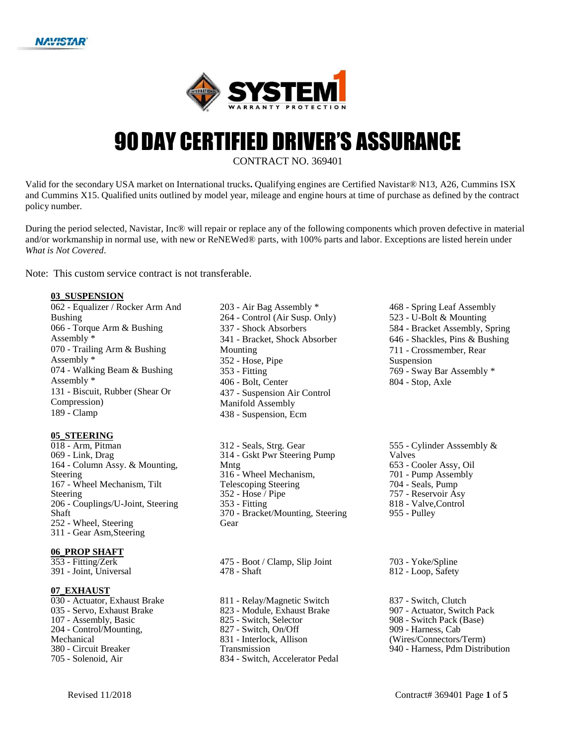



# **90 DAY CERTIFIED DRIVER'S ASSURANCE**

CONTRACT NO. 369401

CONTRACT NO. 369401<br>USA market on International trucks. Qualifying engines are Certified Navistar® N13, A26, Cummins ISX<br>alified units outlined by model year, mileage and engine hours at time of purchase as defined by the Valid for the secondary USA market on International trucks. Qualifying engines are Certified Navistar® N13, A26, Cummins ISX and Cummins X15. Qualified units outlined by model year, mileage and engine hours at time of purchase as defined by the contract policy number.

policy number.<br>During the period selected, Navistar, Inc® will repair or replace any of the following components which proven defective in material During the period selected, Navistar, Inc® will repair or replace any of the following components which proven defective in material<br>and/or workmanship in normal use, with new or ReNEWed® parts, with 100% parts and labor. *What is Not Covered*.

Note: This custom service contract is not transferable.

#### **03\_SUSPENSION**

 - Equalizer / Rocker Arm And Bushing - Torque Arm & Bushing Assembly \* - Trailing Arm & Bushing Assembly \* - Walking Beam & Bushing Assembly \* - Biscuit, Rubber (Shear Or Compression) - Clamp

#### **05\_STEERING**

 - Arm, Pitman - Link, Drag - Column Assy. & Mounting, Steering - Wheel Mechanism, Tilt Steering - Couplings/U-Joint, Steering Shaft - Wheel, Steering - Gear Asm,Steering

#### **06\_PROP SHAFT**

 - Fitting/Zerk - Joint, Universal

#### **07\_EXHAUST**

 - Actuator, Exhaust Brake - Servo, Exhaust Brake - Assembly, Basic - Control/Mounting, Mechanical - Circuit Breaker - Solenoid, Air

 - Air Bag Assembly \* - Control (Air Susp. Only) - Shock Absorbers - Bracket, Shock Absorber Mounting - Hose, Pipe - Fitting - Bolt, Center - Suspension Air Control Manifold Assembly - Suspension, Ecm

 - Seals, Strg. Gear - Gskt Pwr Steering Pump Mntg - Wheel Mechanism, Telescoping Steering - Hose / Pipe - Fitting - Bracket/Mounting, Steering Gear

 - Boot / Clamp, Slip Joint - Shaft

 - Relay/Magnetic Switch - Module, Exhaust Brake - Switch, Selector - Switch, On/Off - Interlock, Allison Transmission - Switch, Accelerator Pedal  - Spring Leaf Assembly - U-Bolt & Mounting - Bracket Assembly, Spring - Shackles, Pins & Bushing - Crossmember, Rear Suspension - Sway Bar Assembly \* - Stop, Axle

 - Cylinder Asssembly & Valves - Cooler Assy, Oil - Pump Assembly - Seals, Pump - Reservoir Asy - Valve,Control - Pulley

 - Yoke/Spline - Loop, Safety

 - Switch, Clutch - Actuator, Switch Pack - Switch Pack (Base) - Harness, Cab (Wires/Connectors/Term) - Harness, Pdm Distribution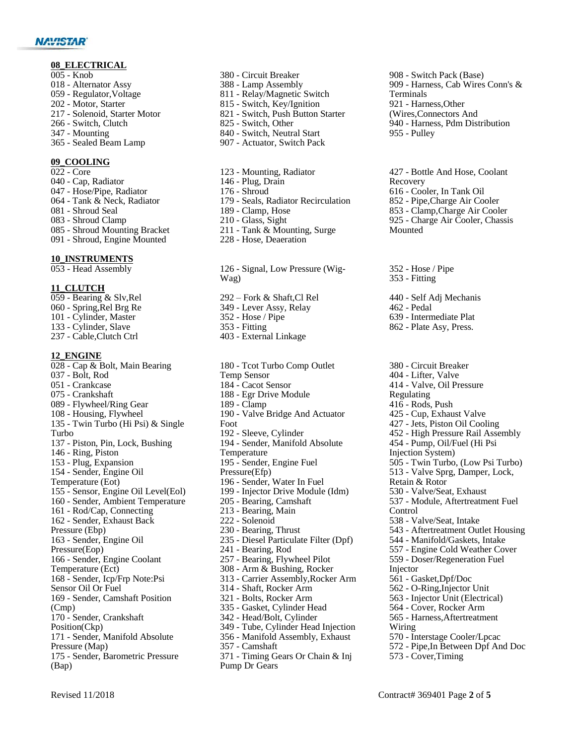#### **NAVISTAR®**

#### **08\_ELECTRICAL**

- Knob - Alternator Assy - Regulator,Voltage
- Motor, Starter
- Solenoid, Starter Motor
- Switch, Clutch
- Mounting
- Sealed Beam Lamp

#### **09\_COOLING**

- Core
- Cap, Radiator
- Hose/Pipe, Radiator
- Tank & Neck, Radiator
- Shroud Seal
- Shroud Clamp
- Shroud Mounting Bracket
- Shroud, Engine Mounted

### **10\_INSTRUMENTS**<br>053 - Head Assembly

#### **11\_CLUTCH**

 - Bearing & Slv,Rel - Spring,Rel Brg Re - Cylinder, Master - Cylinder, Slave - Cable,Clutch Ctrl **12\_ENGINE** - Cap & Bolt, Main Bearing - Bolt, Rod - Crankcase - Crankshaft - Flywheel/Ring Gear - Housing, Flywheel 135 - Twin Turbo (Hi Psi) & Single Turbo - Piston, Pin, Lock, Bushing - Ring, Piston - Plug, Expansion - Sender, Engine Oil Temperature (Eot) - Sensor, Engine Oil Level(Eol) - Sender, Ambient Temperature - Rod/Cap, Connecting - Sender, Exhaust Back Pressure (Ebp) - Sender, Engine Oil Pressure(Eop) - Sender, Engine Coolant Temperature (Ect) - Sender, Icp/Frp Note:Psi Sensor Oil Or Fuel - Sender, Camshaft Position (Cmp) - Sender, Crankshaft Position(Ckp) - Sender, Manifold Absolute Pressure (Map)

 - Sender, Barometric Pressure (Bap)

- Circuit Breaker - Lamp Assembly - Relay/Magnetic Switch - Switch, Key/Ignition - Switch, Push Button Starter - Switch, Other - Switch, Neutral Start - Actuator, Switch Pack
- Mounting, Radiator - Plug, Drain - Shroud - Seals, Radiator Recirculation - Clamp, Hose - Glass, Sight - Tank & Mounting, Surge
- 126 Signal, Low Pressure (Wig-

Wag)

 – Fork & Shaft, Cl Rel - Lever Assy, Relay

- Hose, Deaeration

- Hose / Pipe
- Fitting
- External Linkage

 - Tcot Turbo Comp Outlet Temp Sensor - Cacot Sensor - Egr Drive Module - Clamp - Valve Bridge And Actuator Foot - Sleeve, Cylinder - Sender, Manifold Absolute Temperature - Sender, Engine Fuel Pressure(Efp) - Sender, Water In Fuel - Injector Drive Module (Idm) - Bearing, Camshaft - Bearing, Main - Solenoid - Bearing, Thrust - Diesel Particulate Filter (Dpf) - Bearing, Rod - Bearing, Flywheel Pilot 308 - Arm & Bushing, Rocker - Carrier Assembly,Rocker Arm - Shaft, Rocker Arm - Bolts, Rocker Arm - Gasket, Cylinder Head - Head/Bolt, Cylinder - Tube, Cylinder Head Injection - Manifold Assembly, Exhaust - Camshaft

 - Timing Gears Or Chain & Inj Pump Dr Gears

 - Switch Pack (Base) - Harness, Cab Wires Conn's & Terminals - Harness,Other (Wires,Connectors And - Harness, Pdm Distribution - Pulley

 - Bottle And Hose, Coolant Recovery - Cooler, In Tank Oil - Pipe,Charge Air Cooler - Clamp,Charge Air Cooler - Charge Air Cooler, Chassis Mounted

 - Hose / Pipe - Fitting

- Self Adj Mechanis - Pedal - Intermediate Plat
- Plate Asy, Press.
- Circuit Breaker - Lifter, Valve - Valve, Oil Pressure Regulating - Rods, Push - Cup, Exhaust Valve - Jets, Piston Oil Cooling - High Pressure Rail Assembly - Pump, Oil/Fuel (Hi Psi Injection System) - Twin Turbo, (Low Psi Turbo) - Valve Sprg, Damper, Lock, Retain & Rotor - Valve/Seat, Exhaust - Module, Aftertreatment Fuel Control - Valve/Seat, Intake - Aftertreatment Outlet Housing - Manifold/Gaskets, Intake - Engine Cold Weather Cover - Doser/Regeneration Fuel Injector - Gasket,Dpf/Doc - O-Ring,Injector Unit - Injector Unit (Electrical) - Cover, Rocker Arm - Harness,Aftertreatment Wiring - Interstage Cooler/Lpcac - Pipe,In Between Dpf And Doc - Cover,Timing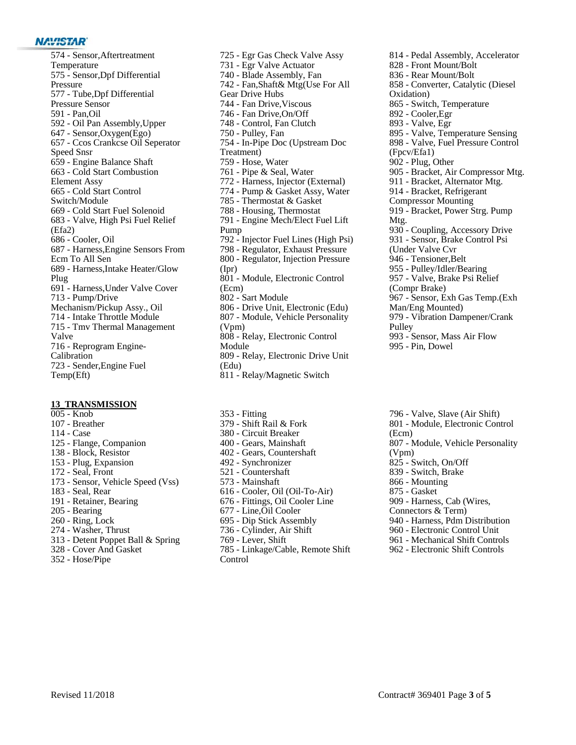#### **NAVISTAR®**

 - Sensor,Aftertreatment Temperature - Sensor,Dpf Differential Pressure - Tube,Dpf Differential Pressure Sensor - Pan,Oil - Oil Pan Assembly,Upper - Sensor,Oxygen(Ego) - Ccos Crankcse Oil Seperator Speed Snsr - Engine Balance Shaft - Cold Start Combustion Element Assy - Cold Start Control Switch/Module - Cold Start Fuel Solenoid - Valve, High Psi Fuel Relief (Efa2) - Cooler, Oil - Harness,Engine Sensors From Ecm To All Sen - Harness,Intake Heater/Glow Plug - Harness,Under Valve Cover - Pump/Drive Mechanism/Pickup Assy., Oil - Intake Throttle Module - Tmv Thermal Management Valve - Reprogram Engine- Calibration - Sender,Engine Fuel Temp(Eft)

#### **13\_TRANSMISSION**

- Knob - Breather - Case - Flange, Companion - Block, Resistor - Plug, Expansion - Seal, Front - Sensor, Vehicle Speed (Vss) - Seal, Rear - Retainer, Bearing - Bearing - Ring, Lock - Washer, Thrust - Detent Poppet Ball & Spring - Cover And Gasket - Hose/Pipe
- Egr Gas Check Valve Assy - Egr Valve Actuator - Blade Assembly, Fan - Fan,Shaft& Mtg(Use For All Gear Drive Hubs - Fan Drive,Viscous - Fan Drive,On/Off - Control, Fan Clutch - Pulley, Fan - In-Pipe Doc (Upstream Doc Treatment) - Hose, Water - Pipe & Seal, Water - Harness, Injector (External) - Pump & Gasket Assy, Water - Thermostat & Gasket - Housing, Thermostat - Engine Mech/Elect Fuel Lift Pump - Injector Fuel Lines (High Psi) - Regulator, Exhaust Pressure - Regulator, Injection Pressure (Ipr) - Module, Electronic Control (Ecm) - Sart Module - Drive Unit, Electronic (Edu) - Module, Vehicle Personality (Vpm) - Relay, Electronic Control Module - Relay, Electronic Drive Unit (Edu) - Relay/Magnetic Switch
- Fitting - Shift Rail & Fork - Circuit Breaker - Gears, Mainshaft - Gears, Countershaft - Synchronizer - Countershaft - Mainshaft - Cooler, Oil (Oil-To-Air) - Fittings, Oil Cooler Line - Line,Oil Cooler - Dip Stick Assembly - Cylinder, Air Shift - Lever, Shift - Linkage/Cable, Remote Shift Control

 - Pedal Assembly, Accelerator - Front Mount/Bolt - Rear Mount/Bolt - Converter, Catalytic (Diesel Oxidation) - Switch, Temperature - Cooler,Egr - Valve, Egr - Valve, Temperature Sensing - Valve, Fuel Pressure Control (Fpcv/Efa1) - Plug, Other - Bracket, Air Compressor Mtg. - Bracket, Alternator Mtg. - Bracket, Refrigerant Compressor Mounting - Bracket, Power Strg. Pump Mtg. - Coupling, Accessory Drive - Sensor, Brake Control Psi (Under Valve Cvr - Tensioner,Belt - Pulley/Idler/Bearing - Valve, Brake Psi Relief (Compr Brake) - Sensor, Exh Gas Temp.(Exh Man/Eng Mounted) - Vibration Dampener/Crank Pulley - Sensor, Mass Air Flow - Pin, Dowel

 - Valve, Slave (Air Shift) - Module, Electronic Control (Ecm) - Module, Vehicle Personality (Vpm) - Switch, On/Off - Switch, Brake - Mounting - Gasket - Harness, Cab (Wires, Connectors & Term) - Harness, Pdm Distribution - Electronic Control Unit - Mechanical Shift Controls - Electronic Shift Controls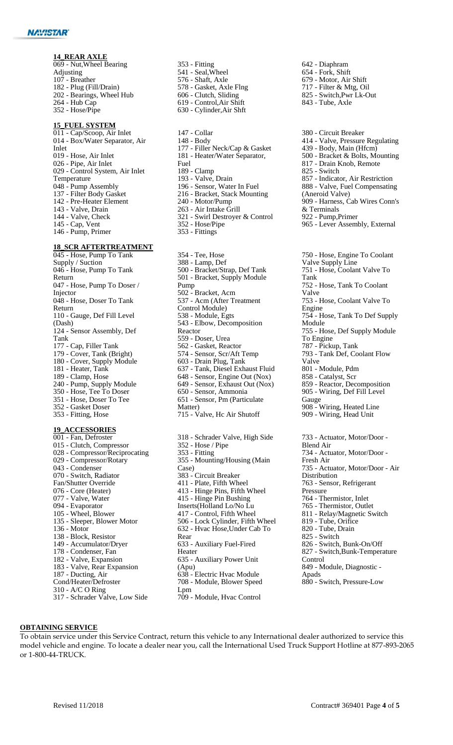#### **14\_REAR AXLE**

 - Nut,Wheel Bearing Adjusting - Breather - Plug (Fill/Drain) - Bearings, Wheel Hub - Hub Cap - Hose/Pipe

#### **15\_FUEL SYSTEM**

 - Cap/Scoop, Air Inlet - Box/Water Separator, Air Inlet - Hose, Air Inlet - Pipe, Air Inlet - Control System, Air Inlet Temperature 048 - Pump Assembly - Filter Body Gasket - Pre-Heater Element - Valve, Drain - Valve, Check - Cap, Vent - Pump, Primer

#### **18\_SCR AFTERTREATMENT**

 - Hose, Pump To Tank Supply / Suction - Hose, Pump To Tank Return - Hose, Pump To Doser / Injector - Hose, Doser To Tank Return - Gauge, Def Fill Level (Dash) - Sensor Assembly, Def Tank - Cap, Filler Tank - Cover, Tank (Bright) - Cover, Supply Module - Heater, Tank - Clamp, Hose - Pump, Supply Module - Hose, Tee To Doser - Hose, Doser To Tee - Gasket Doser - Fitting, Hose

### **19\_ACCESSORIES**

 - Fan, Defroster - Clutch, Compressor - Compressor/Reciprocating - Compressor/Rotary - Condenser - Switch, Radiator Fan/Shutter Override - Core (Heater) - Valve, Water - Evaporator - Wheel, Blower - Sleeper, Blower Motor - Motor - Block, Resistor - Accumulator/Dryer - Condenser, Fan - Valve, Expansion - Valve, Rear Expansion - Ducting, Air Cond/Heater/Defroster - A/C O Ring - Schrader Valve, Low Side

- Fitting - Seal,Wheel - Shaft, Axle - Gasket, Axle Flng - Clutch, Sliding - Control,Air Shift - Cylinder,Air Shft
- Collar - Body - Filler Neck/Cap & Gasket - Heater/Water Separator, Fuel - Clamp - Valve, Drain - Sensor, Water In Fuel - Bracket, Stack Mounting - Motor/Pump - Air Intake Grill - Swirl Destroyer & Control - Hose/Pipe - Fittings - Tee, Hose - Lamp, Def - Bracket/Strap, Def Tank - Bracket, Supply Module Pump - Bracket, Acm - Acm (After Treatment Control Module) - Module, Egts - Elbow, Decomposition Reactor
- Doser, Urea - Gasket, Reactor - Sensor, Scr/Aft Temp - Drain Plug, Tank - Tank, Diesel Exhaust Fluid - Sensor, Engine Out (Nox)
- Sensor, Exhaust Out (Nox)
- Sensor, Ammonia - Sensor, Pm (Particulate
- Matter)
- Valve, Hc Air Shutoff

 - Schrader Valve, High Side  $352 - Hose / Pipe$  - Fitting - Mounting/Housing (Main Case) - Circuit Breaker - Plate, Fifth Wheel - Hinge Pins, Fifth Wheel - Hinge Pin Bushing Inserts(Holland Lo/No Lu - Control, Fifth Wheel - Lock Cylinder, Fifth Wheel - Hvac Hose,Under Cab To Rear - Auxiliary Fuel-Fired Heater - Auxiliary Power Unit (Apu) - Electric Hvac Module - Module, Blower Speed Lpm - Module, Hvac Control

- Diaphram - Fork, Shift - Motor, Air Shift - Filter & Mtg, Oil - Switch,Pwr Lk-Out - Tube, Axle
- Circuit Breaker - Valve, Pressure Regulating - Body, Main (Hfcm) - Bracket & Bolts, Mounting - Drain Knob, Remote - Switch - Indicator, Air Restriction - Valve, Fuel Compensating (Aneroid Valve) - Harness, Cab Wires Conn's & Terminals - Pump,Primer - Lever Assembly, External - Hose, Engine To Coolant Valve Supply Line - Hose, Coolant Valve To

Tank - Hose, Tank To Coolant Valve - Hose, Coolant Valve To Engine - Hose, Tank To Def Supply Module - Hose, Def Supply Module To Engine - Pickup, Tank - Tank Def, Coolant Flow Valve - Module, Pdm - Catalyst, Scr - Reactor, Decomposition - Wiring, Def Fill Level Gauge - Wiring, Heated Line - Wiring, Head Unit - Actuator, Motor/Door - Blend Air - Actuator, Motor/Door - Fresh Air - Actuator, Motor/Door - Air Distribution - Sensor, Refrigerant Pressure - Thermistor, Inlet - Thermistor, Outlet - Relay/Magnetic Switch - Tube, Orifice - Tube, Drain - Switch - Switch, Bunk-On/Off - Switch,Bunk-Temperature Control - Module, Diagnostic - Apads

- Switch, Pressure-Low

#### **OBTAINING SERVICE**

To obtain service under this Service Contract, return this vehicle to any International dealer authorized to service this model vehicle and engine. To locate a dealer near you, call the International Used Truck Support Hotline at877-893-2065 or 1-800-44-TRUCK.